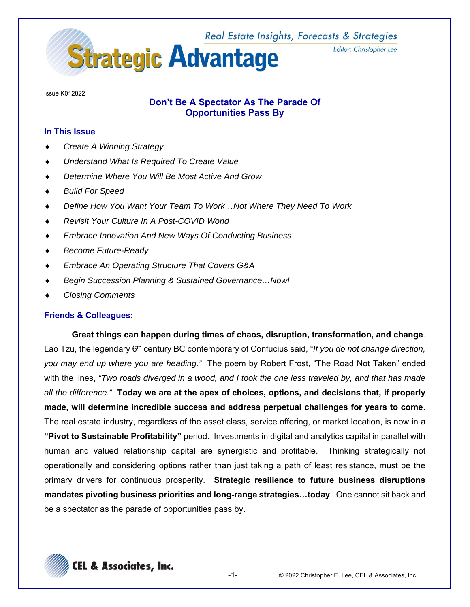

Issue K012822

## **Don't Be A Spectator As The Parade Of Opportunities Pass By**

## **In This Issue**

- *Create A Winning Strategy*
- *Understand What Is Required To Create Value*
- *Determine Where You Will Be Most Active And Grow*
- *Build For Speed*
- *Define How You Want Your Team To Work…Not Where They Need To Work*
- *Revisit Your Culture In A Post-COVID World*
- *Embrace Innovation And New Ways Of Conducting Business*
- *Become Future-Ready*
- *Embrace An Operating Structure That Covers G&A*
- *Begin Succession Planning & Sustained Governance…Now!*
- *Closing Comments*

## **Friends & Colleagues:**

**Great things can happen during times of chaos, disruption, transformation, and change**. Lao Tzu, the legendary 6th century BC contemporary of Confucius said, "*If you do not change direction, you may end up where you are heading."* The poem by Robert Frost, "The Road Not Taken" ended with the lines, *"Two roads diverged in a wood, and I took the one less traveled by, and that has made all the difference."* **Today we are at the apex of choices, options, and decisions that, if properly made, will determine incredible success and address perpetual challenges for years to come**. The real estate industry, regardless of the asset class, service offering, or market location, is now in a **"Pivot to Sustainable Profitability"** period. Investments in digital and analytics capital in parallel with human and valued relationship capital are synergistic and profitable. Thinking strategically not operationally and considering options rather than just taking a path of least resistance, must be the primary drivers for continuous prosperity. **Strategic resilience to future business disruptions mandates pivoting business priorities and long-range strategies…today**. One cannot sit back and be a spectator as the parade of opportunities pass by.

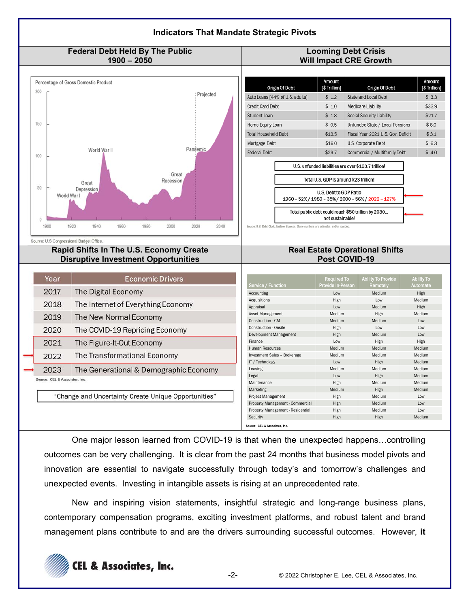

One major lesson learned from COVID-19 is that when the unexpected happens…controlling outcomes can be very challenging. It is clear from the past 24 months that business model pivots and innovation are essential to navigate successfully through today's and tomorrow's challenges and unexpected events. Investing in intangible assets is rising at an unprecedented rate.

New and inspiring vision statements, insightful strategic and long-range business plans, contemporary compensation programs, exciting investment platforms, and robust talent and brand management plans contribute to and are the drivers surrounding successful outcomes. However, **it** 

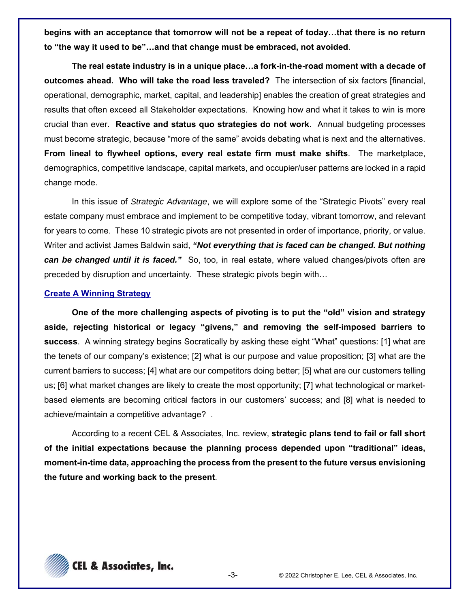**begins with an acceptance that tomorrow will not be a repeat of today…that there is no return to "the way it used to be"…and that change must be embraced, not avoided**.

**The real estate industry is in a unique place…a fork-in-the-road moment with a decade of outcomes ahead. Who will take the road less traveled?** The intersection of six factors [financial, operational, demographic, market, capital, and leadership] enables the creation of great strategies and results that often exceed all Stakeholder expectations. Knowing how and what it takes to win is more crucial than ever. **Reactive and status quo strategies do not work**. Annual budgeting processes must become strategic, because "more of the same" avoids debating what is next and the alternatives. **From lineal to flywheel options, every real estate firm must make shifts**. The marketplace, demographics, competitive landscape, capital markets, and occupier/user patterns are locked in a rapid change mode.

In this issue of *Strategic Advantage*, we will explore some of the "Strategic Pivots" every real estate company must embrace and implement to be competitive today, vibrant tomorrow, and relevant for years to come. These 10 strategic pivots are not presented in order of importance, priority, or value. Writer and activist James Baldwin said, *"Not everything that is faced can be changed. But nothing can be changed until it is faced."* So, too, in real estate, where valued changes/pivots often are preceded by disruption and uncertainty. These strategic pivots begin with…

#### **Create A Winning Strategy**

**One of the more challenging aspects of pivoting is to put the "old" vision and strategy aside, rejecting historical or legacy "givens," and removing the self-imposed barriers to success**. A winning strategy begins Socratically by asking these eight "What" questions: [1] what are the tenets of our company's existence; [2] what is our purpose and value proposition; [3] what are the current barriers to success; [4] what are our competitors doing better; [5] what are our customers telling us; [6] what market changes are likely to create the most opportunity; [7] what technological or marketbased elements are becoming critical factors in our customers' success; and [8] what is needed to achieve/maintain a competitive advantage? .

According to a recent CEL & Associates, Inc. review, **strategic plans tend to fail or fall short of the initial expectations because the planning process depended upon "traditional" ideas, moment-in-time data, approaching the process from the present to the future versus envisioning the future and working back to the present**.

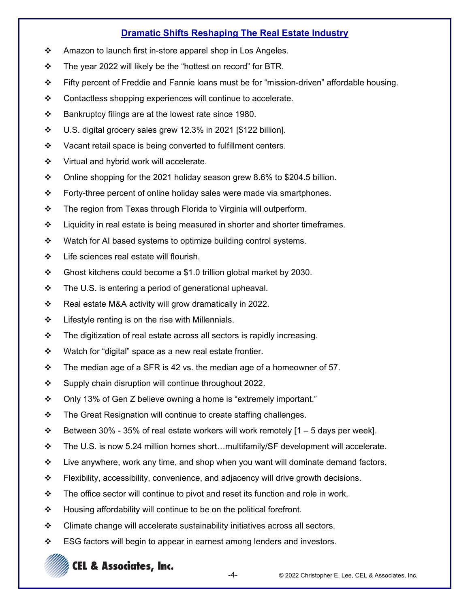# **Dramatic Shifts Reshaping The Real Estate Industry**

- ❖ Amazon to launch first in-store apparel shop in Los Angeles.
- $\cdot \cdot$  The year 2022 will likely be the "hottest on record" for BTR.
- Fifty percent of Freddie and Fannie loans must be for "mission-driven" affordable housing.
- Contactless shopping experiences will continue to accelerate.
- $\div$  Bankruptcy filings are at the lowest rate since 1980.
- $\cdot \cdot$  U.S. digital grocery sales grew 12.3% in 2021 [\$122 billion].
- $\mathbf{\hat{P}}$  Vacant retail space is being converted to fulfillment centers.
- ❖ Virtual and hybrid work will accelerate.
- $\div$  Online shopping for the 2021 holiday season grew 8.6% to \$204.5 billion.
- $\div$  Forty-three percent of online holiday sales were made via smartphones.
- The region from Texas through Florida to Virginia will outperform.
- $\div$  Liquidity in real estate is being measured in shorter and shorter timeframes.
- ❖ Watch for AI based systems to optimize building control systems.
- ❖ Life sciences real estate will flourish.
- $\div$  Ghost kitchens could become a \$1.0 trillion global market by 2030.
- $\div$  The U.S. is entering a period of generational upheaval.
- Real estate M&A activity will grow dramatically in 2022.
- $\div$  Lifestyle renting is on the rise with Millennials.
- $\div$  The digitization of real estate across all sectors is rapidly increasing.
- $\div$  Watch for "digital" space as a new real estate frontier.
- $\div$  The median age of a SFR is 42 vs. the median age of a homeowner of 57.
- ❖ Supply chain disruption will continue throughout 2022.
- $\div$  Only 13% of Gen Z believe owning a home is "extremely important."
- $\mathbf{\hat{P}}$  The Great Resignation will continue to create staffing challenges.
- $\div$  Between 30% 35% of real estate workers will work remotely [1 5 days per week].
- The U.S. is now 5.24 million homes short…multifamily/SF development will accelerate.
- $\div$  Live anywhere, work any time, and shop when you want will dominate demand factors.
- $\div$  Flexibility, accessibility, convenience, and adjacency will drive growth decisions.
- $\div$  The office sector will continue to pivot and reset its function and role in work.
- ❖ Housing affordability will continue to be on the political forefront.
- $\div$  Climate change will accelerate sustainability initiatives across all sectors.
- $\div$  ESG factors will begin to appear in earnest among lenders and investors.

# **CEL & Associates, Inc.**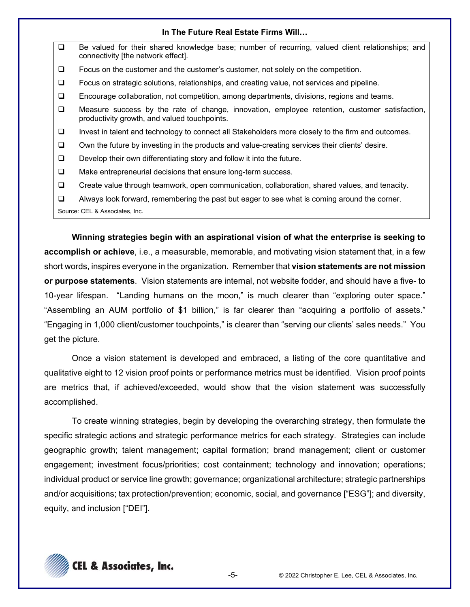#### **In The Future Real Estate Firms Will…**

□ Be valued for their shared knowledge base; number of recurring, valued client relationships; and connectivity [the network effect].  $\Box$  Focus on the customer and the customer's customer, not solely on the competition. Focus on strategic solutions, relationships, and creating value, not services and pipeline. Encourage collaboration, not competition, among departments, divisions, regions and teams. Measure success by the rate of change, innovation, employee retention, customer satisfaction, productivity growth, and valued touchpoints.  $\Box$  Invest in talent and technology to connect all Stakeholders more closely to the firm and outcomes.  $\Box$  Own the future by investing in the products and value-creating services their clients' desire.  $\Box$  Develop their own differentiating story and follow it into the future.  $\Box$  Make entrepreneurial decisions that ensure long-term success. Create value through teamwork, open communication, collaboration, shared values, and tenacity.  $\Box$  Always look forward, remembering the past but eager to see what is coming around the corner.

**Winning strategies begin with an aspirational vision of what the enterprise is seeking to accomplish or achieve**, i.e., a measurable, memorable, and motivating vision statement that, in a few short words, inspires everyone in the organization. Remember that **vision statements are not mission or purpose statements**. Vision statements are internal, not website fodder, and should have a five- to 10-year lifespan. "Landing humans on the moon," is much clearer than "exploring outer space." "Assembling an AUM portfolio of \$1 billion," is far clearer than "acquiring a portfolio of assets." "Engaging in 1,000 client/customer touchpoints," is clearer than "serving our clients' sales needs." You get the picture.

Once a vision statement is developed and embraced, a listing of the core quantitative and qualitative eight to 12 vision proof points or performance metrics must be identified. Vision proof points are metrics that, if achieved/exceeded, would show that the vision statement was successfully accomplished.

To create winning strategies, begin by developing the overarching strategy, then formulate the specific strategic actions and strategic performance metrics for each strategy. Strategies can include geographic growth; talent management; capital formation; brand management; client or customer engagement; investment focus/priorities; cost containment; technology and innovation; operations; individual product or service line growth; governance; organizational architecture; strategic partnerships and/or acquisitions; tax protection/prevention; economic, social, and governance ["ESG"]; and diversity, equity, and inclusion ["DEI"].



Source: CEL & Associates, Inc.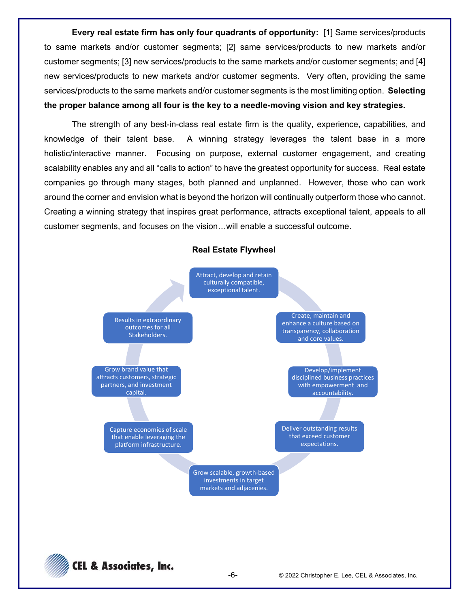**Every real estate firm has only four quadrants of opportunity:** [1] Same services/products to same markets and/or customer segments; [2] same services/products to new markets and/or customer segments; [3] new services/products to the same markets and/or customer segments; and [4] new services/products to new markets and/or customer segments. Very often, providing the same services/products to the same markets and/or customer segments is the most limiting option. **Selecting the proper balance among all four is the key to a needle-moving vision and key strategies.** 

The strength of any best-in-class real estate firm is the quality, experience, capabilities, and knowledge of their talent base. A winning strategy leverages the talent base in a more holistic/interactive manner. Focusing on purpose, external customer engagement, and creating scalability enables any and all "calls to action" to have the greatest opportunity for success. Real estate companies go through many stages, both planned and unplanned. However, those who can work around the corner and envision what is beyond the horizon will continually outperform those who cannot. Creating a winning strategy that inspires great performance, attracts exceptional talent, appeals to all customer segments, and focuses on the vision…will enable a successful outcome.



**Real Estate Flywheel** 

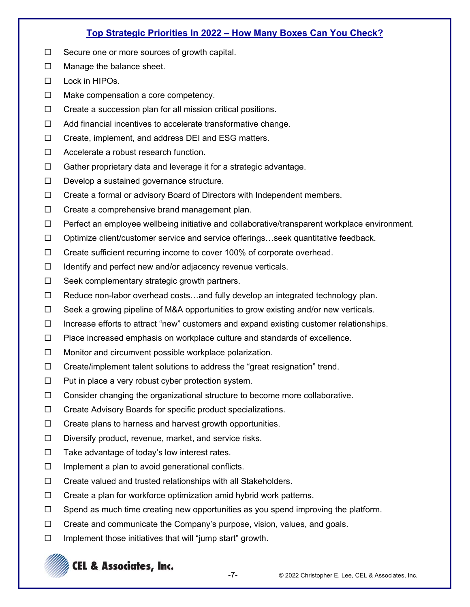## **Top Strategic Priorities In 2022 – How Many Boxes Can You Check?**

- $\Box$  Secure one or more sources of growth capital.
- $\Box$  Manage the balance sheet.
- $\square$  Lock in HIPOs.
- $\Box$  Make compensation a core competency.
- $\Box$  Create a succession plan for all mission critical positions.
- $\Box$  Add financial incentives to accelerate transformative change.
- $\Box$  Create, implement, and address DEI and ESG matters.
- □ Accelerate a robust research function.
- $\Box$  Gather proprietary data and leverage it for a strategic advantage.
- $\Box$  Develop a sustained governance structure.
- $\Box$  Create a formal or advisory Board of Directors with Independent members.
- $\Box$  Create a comprehensive brand management plan.
- $\Box$  Perfect an employee wellbeing initiative and collaborative/transparent workplace environment.
- $\Box$  Optimize client/customer service and service offerings...seek quantitative feedback.
- □ Create sufficient recurring income to cover 100% of corporate overhead.
- $\Box$  Identify and perfect new and/or adjacency revenue verticals.
- $\Box$  Seek complementary strategic growth partners.
- $\Box$  Reduce non-labor overhead costs...and fully develop an integrated technology plan.
- $\Box$  Seek a growing pipeline of M&A opportunities to grow existing and/or new verticals.
- $\Box$  Increase efforts to attract "new" customers and expand existing customer relationships.
- $\Box$  Place increased emphasis on workplace culture and standards of excellence.
- $\Box$  Monitor and circumvent possible workplace polarization.
- $\Box$  Create/implement talent solutions to address the "great resignation" trend.
- $\Box$  Put in place a very robust cyber protection system.
- $\Box$  Consider changing the organizational structure to become more collaborative.
- $\Box$  Create Advisory Boards for specific product specializations.
- $\Box$  Create plans to harness and harvest growth opportunities.
- $\Box$  Diversify product, revenue, market, and service risks.
- $\Box$  Take advantage of today's low interest rates.
- $\Box$  Implement a plan to avoid generational conflicts.
- $\Box$  Create valued and trusted relationships with all Stakeholders.
- $\Box$  Create a plan for workforce optimization amid hybrid work patterns.
- $\Box$  Spend as much time creating new opportunities as you spend improving the platform.
- $\Box$  Create and communicate the Company's purpose, vision, values, and goals.
- $\Box$  Implement those initiatives that will "jump start" growth.

# **CEL & Associates, Inc.**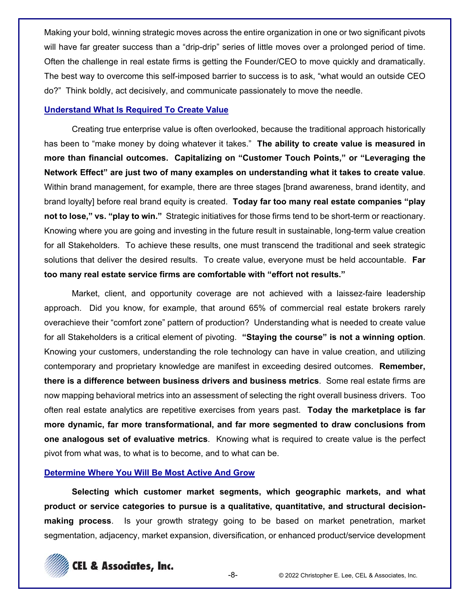Making your bold, winning strategic moves across the entire organization in one or two significant pivots will have far greater success than a "drip-drip" series of little moves over a prolonged period of time. Often the challenge in real estate firms is getting the Founder/CEO to move quickly and dramatically. The best way to overcome this self-imposed barrier to success is to ask, "what would an outside CEO do?" Think boldly, act decisively, and communicate passionately to move the needle.

## **Understand What Is Required To Create Value**

Creating true enterprise value is often overlooked, because the traditional approach historically has been to "make money by doing whatever it takes." **The ability to create value is measured in more than financial outcomes. Capitalizing on "Customer Touch Points," or "Leveraging the Network Effect" are just two of many examples on understanding what it takes to create value**. Within brand management, for example, there are three stages [brand awareness, brand identity, and brand loyalty] before real brand equity is created. **Today far too many real estate companies "play not to lose," vs. "play to win."** Strategic initiatives for those firms tend to be short-term or reactionary. Knowing where you are going and investing in the future result in sustainable, long-term value creation for all Stakeholders. To achieve these results, one must transcend the traditional and seek strategic solutions that deliver the desired results. To create value, everyone must be held accountable. **Far too many real estate service firms are comfortable with "effort not results."**

Market, client, and opportunity coverage are not achieved with a laissez-faire leadership approach. Did you know, for example, that around 65% of commercial real estate brokers rarely overachieve their "comfort zone" pattern of production? Understanding what is needed to create value for all Stakeholders is a critical element of pivoting. **"Staying the course" is not a winning option**. Knowing your customers, understanding the role technology can have in value creation, and utilizing contemporary and proprietary knowledge are manifest in exceeding desired outcomes. **Remember, there is a difference between business drivers and business metrics**. Some real estate firms are now mapping behavioral metrics into an assessment of selecting the right overall business drivers. Too often real estate analytics are repetitive exercises from years past. **Today the marketplace is far more dynamic, far more transformational, and far more segmented to draw conclusions from one analogous set of evaluative metrics**. Knowing what is required to create value is the perfect pivot from what was, to what is to become, and to what can be.

## **Determine Where You Will Be Most Active And Grow**

**Selecting which customer market segments, which geographic markets, and what product or service categories to pursue is a qualitative, quantitative, and structural decisionmaking process**. Is your growth strategy going to be based on market penetration, market segmentation, adjacency, market expansion, diversification, or enhanced product/service development

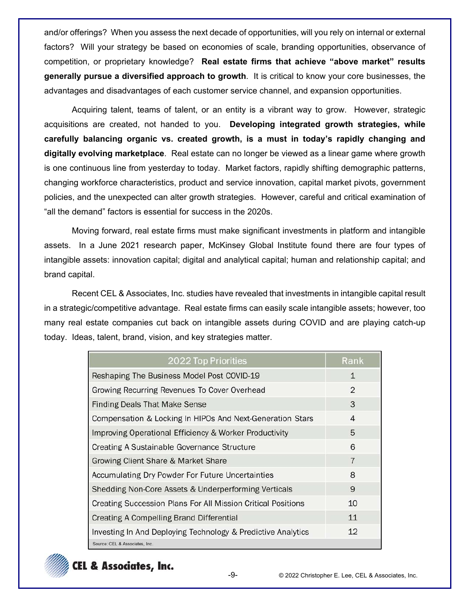and/or offerings? When you assess the next decade of opportunities, will you rely on internal or external factors? Will your strategy be based on economies of scale, branding opportunities, observance of competition, or proprietary knowledge? **Real estate firms that achieve "above market" results generally pursue a diversified approach to growth**. It is critical to know your core businesses, the advantages and disadvantages of each customer service channel, and expansion opportunities.

Acquiring talent, teams of talent, or an entity is a vibrant way to grow. However, strategic acquisitions are created, not handed to you. **Developing integrated growth strategies, while carefully balancing organic vs. created growth, is a must in today's rapidly changing and digitally evolving marketplace**. Real estate can no longer be viewed as a linear game where growth is one continuous line from yesterday to today. Market factors, rapidly shifting demographic patterns, changing workforce characteristics, product and service innovation, capital market pivots, government policies, and the unexpected can alter growth strategies. However, careful and critical examination of "all the demand" factors is essential for success in the 2020s.

Moving forward, real estate firms must make significant investments in platform and intangible assets. In a June 2021 research paper, McKinsey Global Institute found there are four types of intangible assets: innovation capital; digital and analytical capital; human and relationship capital; and brand capital.

Recent CEL & Associates, Inc. studies have revealed that investments in intangible capital result in a strategic/competitive advantage. Real estate firms can easily scale intangible assets; however, too many real estate companies cut back on intangible assets during COVID and are playing catch-up today. Ideas, talent, brand, vision, and key strategies matter.

| 2022 Top Priorities                                                 | Rank           |
|---------------------------------------------------------------------|----------------|
| Reshaping The Business Model Post COVID-19                          | 1              |
| Growing Recurring Revenues To Cover Overhead                        | $\mathfrak{D}$ |
| <b>Finding Deals That Make Sense</b>                                | 3              |
| Compensation & Locking In HIPOs And Next-Generation Stars           | 4              |
| Improving Operational Efficiency & Worker Productivity              | 5              |
| <b>Creating A Sustainable Governance Structure</b>                  | 6              |
| Growing Client Share & Market Share                                 | 7              |
| Accumulating Dry Powder For Future Uncertainties                    | 8              |
| Shedding Non-Core Assets & Underperforming Verticals                | 9              |
| <b>Creating Succession Plans For All Mission Critical Positions</b> | 10             |
| <b>Creating A Compelling Brand Differential</b>                     | 11             |
| Investing In And Deploying Technology & Predictive Analytics        | 12             |
| Source: CEL & Associates, Inc.                                      |                |

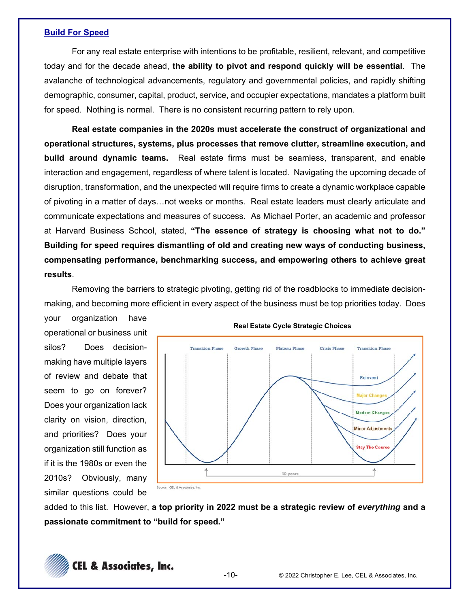#### **Build For Speed**

For any real estate enterprise with intentions to be profitable, resilient, relevant, and competitive today and for the decade ahead, **the ability to pivot and respond quickly will be essential**. The avalanche of technological advancements, regulatory and governmental policies, and rapidly shifting demographic, consumer, capital, product, service, and occupier expectations, mandates a platform built for speed. Nothing is normal. There is no consistent recurring pattern to rely upon.

**Real estate companies in the 2020s must accelerate the construct of organizational and operational structures, systems, plus processes that remove clutter, streamline execution, and build around dynamic teams.** Real estate firms must be seamless, transparent, and enable interaction and engagement, regardless of where talent is located. Navigating the upcoming decade of disruption, transformation, and the unexpected will require firms to create a dynamic workplace capable of pivoting in a matter of days…not weeks or months. Real estate leaders must clearly articulate and communicate expectations and measures of success. As Michael Porter, an academic and professor at Harvard Business School, stated, **"The essence of strategy is choosing what not to do." Building for speed requires dismantling of old and creating new ways of conducting business, compensating performance, benchmarking success, and empowering others to achieve great results**.

Removing the barriers to strategic pivoting, getting rid of the roadblocks to immediate decisionmaking, and becoming more efficient in every aspect of the business must be top priorities today. Does

your organization have operational or business unit silos? Does decisionmaking have multiple layers of review and debate that seem to go on forever? Does your organization lack clarity on vision, direction, and priorities? Does your organization still function as if it is the 1980s or even the 2010s? Obviously, many similar questions could be



**Real Estate Cycle Strategic Choices**

added to this list. However, **a top priority in 2022 must be a strategic review of** *everything* **and a passionate commitment to "build for speed."**

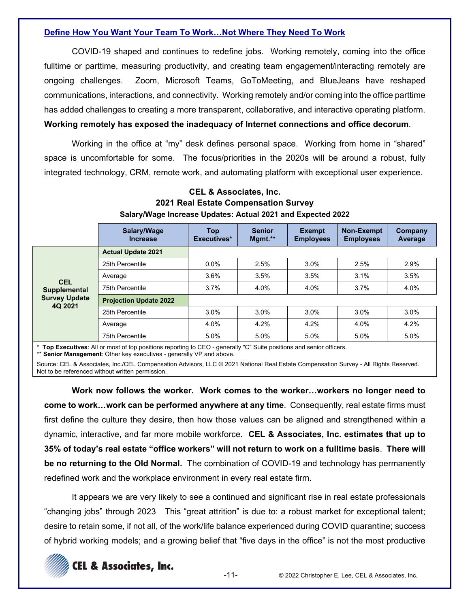## **Define How You Want Your Team To Work…Not Where They Need To Work**

COVID-19 shaped and continues to redefine jobs. Working remotely, coming into the office fulltime or parttime, measuring productivity, and creating team engagement/interacting remotely are ongoing challenges. Zoom, Microsoft Teams, GoToMeeting, and BlueJeans have reshaped communications, interactions, and connectivity. Working remotely and/or coming into the office parttime has added challenges to creating a more transparent, collaborative, and interactive operating platform. **Working remotely has exposed the inadequacy of Internet connections and office decorum**.

Working in the office at "my" desk defines personal space. Working from home in "shared" space is uncomfortable for some. The focus/priorities in the 2020s will be around a robust, fully integrated technology, CRM, remote work, and automating platform with exceptional user experience.

|                                                                      | Salary/Wage<br><b>Increase</b> | <b>Top</b><br>Executives* | <b>Senior</b><br>Mgmt.** | <b>Exempt</b><br><b>Employees</b> | <b>Non-Exempt</b><br><b>Employees</b> | Company<br>Average |
|----------------------------------------------------------------------|--------------------------------|---------------------------|--------------------------|-----------------------------------|---------------------------------------|--------------------|
| <b>CEL</b><br><b>Supplemental</b><br><b>Survey Update</b><br>4Q 2021 | <b>Actual Update 2021</b>      |                           |                          |                                   |                                       |                    |
|                                                                      | 25th Percentile                | $0.0\%$                   | 2.5%                     | 3.0%                              | 2.5%                                  | 2.9%               |
|                                                                      | Average                        | 3.6%                      | 3.5%                     | 3.5%                              | 3.1%                                  | 3.5%               |
|                                                                      | 75th Percentile                | 3.7%                      | 4.0%                     | 4.0%                              | 3.7%                                  | 4.0%               |
|                                                                      | <b>Projection Update 2022</b>  |                           |                          |                                   |                                       |                    |
|                                                                      | 25th Percentile                | 3.0%                      | 3.0%                     | 3.0%                              | 3.0%                                  | 3.0%               |
|                                                                      | Average                        | 4.0%                      | 4.2%                     | 4.2%                              | 4.0%                                  | 4.2%               |
|                                                                      | 75th Percentile                | 5.0%                      | 5.0%                     | 5.0%                              | 5.0%                                  | 5.0%               |

## **CEL & Associates, Inc. 2021 Real Estate Compensation Survey Salary/Wage Increase Updates: Actual 2021 and Expected 2022**

\* **Top Executives**: All or most of top positions reporting to CEO - generally "C" Suite positions and senior officers. \*\* **Senior Management**: Other key executives - generally VP and above.

Source: CEL & Associates, Inc./CEL Compensation Advisors, LLC © 2021 National Real Estate Compensation Survey - All Rights Reserved. Not to be referenced without written permission.

**Work now follows the worker. Work comes to the worker…workers no longer need to come to work…work can be performed anywhere at any time**. Consequently, real estate firms must first define the culture they desire, then how those values can be aligned and strengthened within a dynamic, interactive, and far more mobile workforce. **CEL & Associates, Inc. estimates that up to 35% of today's real estate "office workers" will not return to work on a fulltime basis**. **There will be no returning to the Old Normal.** The combination of COVID-19 and technology has permanently redefined work and the workplace environment in every real estate firm.

It appears we are very likely to see a continued and significant rise in real estate professionals "changing jobs" through 2023 This "great attrition" is due to: a robust market for exceptional talent; desire to retain some, if not all, of the work/life balance experienced during COVID quarantine; success of hybrid working models; and a growing belief that "five days in the office" is not the most productive

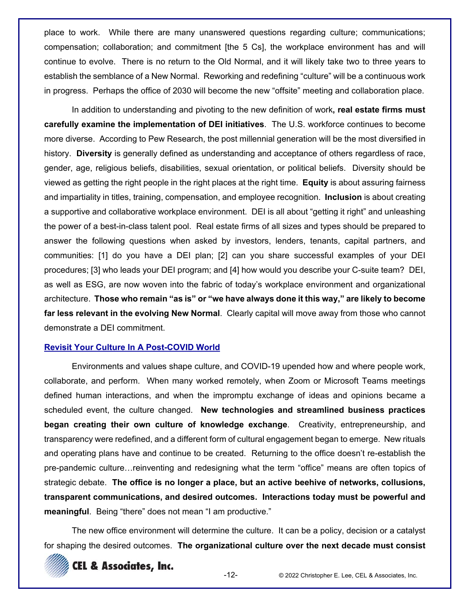place to work. While there are many unanswered questions regarding culture; communications; compensation; collaboration; and commitment [the 5 Cs], the workplace environment has and will continue to evolve. There is no return to the Old Normal, and it will likely take two to three years to establish the semblance of a New Normal. Reworking and redefining "culture" will be a continuous work in progress. Perhaps the office of 2030 will become the new "offsite" meeting and collaboration place.

In addition to understanding and pivoting to the new definition of work**, real estate firms must carefully examine the implementation of DEI initiatives**. The U.S. workforce continues to become more diverse. According to Pew Research, the post millennial generation will be the most diversified in history. **Diversity** is generally defined as understanding and acceptance of others regardless of race, gender, age, religious beliefs, disabilities, sexual orientation, or political beliefs. Diversity should be viewed as getting the right people in the right places at the right time. **Equity** is about assuring fairness and impartiality in titles, training, compensation, and employee recognition. **Inclusion** is about creating a supportive and collaborative workplace environment. DEI is all about "getting it right" and unleashing the power of a best-in-class talent pool. Real estate firms of all sizes and types should be prepared to answer the following questions when asked by investors, lenders, tenants, capital partners, and communities: [1] do you have a DEI plan; [2] can you share successful examples of your DEI procedures; [3] who leads your DEI program; and [4] how would you describe your C-suite team? DEI, as well as ESG, are now woven into the fabric of today's workplace environment and organizational architecture. **Those who remain "as is" or "we have always done it this way," are likely to become far less relevant in the evolving New Normal**. Clearly capital will move away from those who cannot demonstrate a DEI commitment.

## **Revisit Your Culture In A Post-COVID World**

Environments and values shape culture, and COVID-19 upended how and where people work, collaborate, and perform. When many worked remotely, when Zoom or Microsoft Teams meetings defined human interactions, and when the impromptu exchange of ideas and opinions became a scheduled event, the culture changed. **New technologies and streamlined business practices began creating their own culture of knowledge exchange**. Creativity, entrepreneurship, and transparency were redefined, and a different form of cultural engagement began to emerge. New rituals and operating plans have and continue to be created. Returning to the office doesn't re-establish the pre-pandemic culture…reinventing and redesigning what the term "office" means are often topics of strategic debate. **The office is no longer a place, but an active beehive of networks, collusions, transparent communications, and desired outcomes. Interactions today must be powerful and meaningful**. Being "there" does not mean "I am productive."

The new office environment will determine the culture. It can be a policy, decision or a catalyst for shaping the desired outcomes. **The organizational culture over the next decade must consist** 

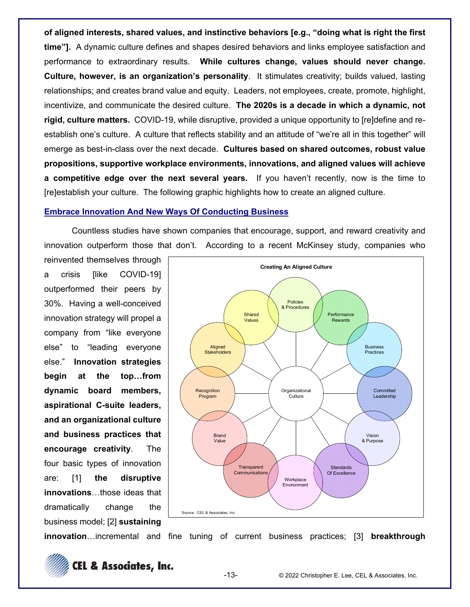**of aligned interests, shared values, and instinctive behaviors [e.g., "doing what is right the first time"].** A dynamic culture defines and shapes desired behaviors and links employee satisfaction and performance to extraordinary results. **While cultures change, values should never change. Culture, however, is an organization's personality**. It stimulates creativity; builds valued, lasting relationships; and creates brand value and equity. Leaders, not employees, create, promote, highlight, incentivize, and communicate the desired culture. **The 2020s is a decade in which a dynamic, not rigid, culture matters.** COVID-19, while disruptive, provided a unique opportunity to [re]define and reestablish one's culture. A culture that reflects stability and an attitude of "we're all in this together" will emerge as best-in-class over the next decade. **Cultures based on shared outcomes, robust value propositions, supportive workplace environments, innovations, and aligned values will achieve a competitive edge over the next several years.** If you haven't recently, now is the time to [re]establish your culture. The following graphic highlights how to create an aligned culture.

### **Embrace Innovation And New Ways Of Conducting Business**

Countless studies have shown companies that encourage, support, and reward creativity and innovation outperform those that don't. According to a recent McKinsey study, companies who

reinvented themselves through a crisis [like COVID-19] outperformed their peers by 30%. Having a well-conceived innovation strategy will propel a company from "like everyone else" to "leading everyone else." **Innovation strategies begin at the top…from dynamic board members, aspirational C-suite leaders, and an organizational culture and business practices that encourage creativity**. The four basic types of innovation are: [1] **the disruptive innovations**…those ideas that dramatically change the business model; [2] **sustaining** 



**innovation**…incremental and fine tuning of current business practices; [3] **breakthrough** 

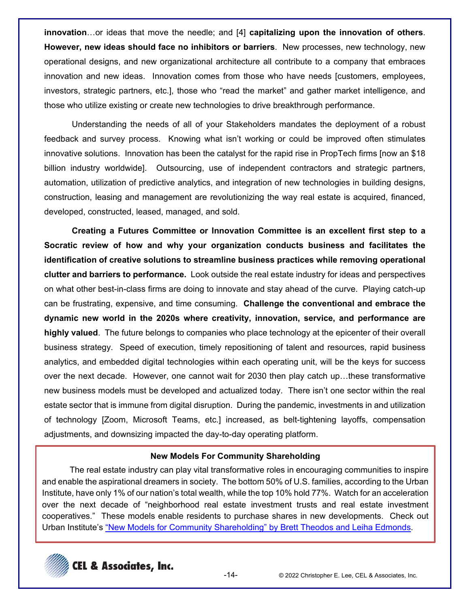**innovation**…or ideas that move the needle; and [4] **capitalizing upon the innovation of others**. **However, new ideas should face no inhibitors or barriers**. New processes, new technology, new operational designs, and new organizational architecture all contribute to a company that embraces innovation and new ideas. Innovation comes from those who have needs [customers, employees, investors, strategic partners, etc.], those who "read the market" and gather market intelligence, and those who utilize existing or create new technologies to drive breakthrough performance.

Understanding the needs of all of your Stakeholders mandates the deployment of a robust feedback and survey process. Knowing what isn't working or could be improved often stimulates innovative solutions. Innovation has been the catalyst for the rapid rise in PropTech firms [now an \$18 billion industry worldwide]. Outsourcing, use of independent contractors and strategic partners, automation, utilization of predictive analytics, and integration of new technologies in building designs, construction, leasing and management are revolutionizing the way real estate is acquired, financed, developed, constructed, leased, managed, and sold.

**Creating a Futures Committee or Innovation Committee is an excellent first step to a Socratic review of how and why your organization conducts business and facilitates the identification of creative solutions to streamline business practices while removing operational clutter and barriers to performance.** Look outside the real estate industry for ideas and perspectives on what other best-in-class firms are doing to innovate and stay ahead of the curve. Playing catch-up can be frustrating, expensive, and time consuming. **Challenge the conventional and embrace the dynamic new world in the 2020s where creativity, innovation, service, and performance are highly valued**. The future belongs to companies who place technology at the epicenter of their overall business strategy. Speed of execution, timely repositioning of talent and resources, rapid business analytics, and embedded digital technologies within each operating unit, will be the keys for success over the next decade. However, one cannot wait for 2030 then play catch up…these transformative new business models must be developed and actualized today. There isn't one sector within the real estate sector that is immune from digital disruption. During the pandemic, investments in and utilization of technology [Zoom, Microsoft Teams, etc.] increased, as belt-tightening layoffs, compensation adjustments, and downsizing impacted the day-to-day operating platform.

#### **New Models For Community Shareholding**

The real estate industry can play vital transformative roles in encouraging communities to inspire and enable the aspirational dreamers in society. The bottom 50% of U.S. families, according to the Urban Institute, have only 1% of our nation's total wealth, while the top 10% hold 77%. Watch for an acceleration over the next decade of "neighborhood real estate investment trusts and real estate investment cooperatives." These models enable residents to purchase shares in new developments. Check out Urban Institute's "New Models for Community Shareholding" by Brett Theodos and Leiha Edmonds.

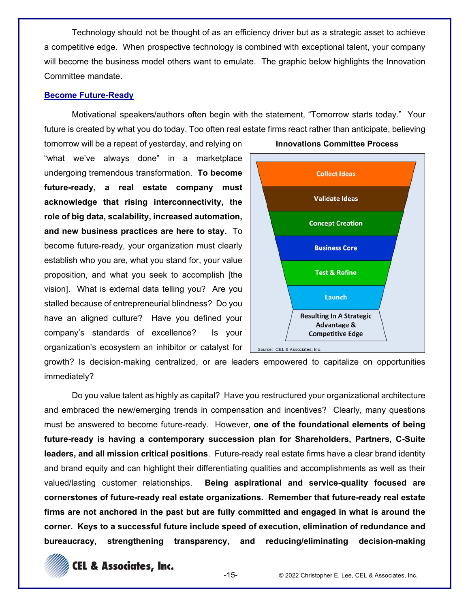Technology should not be thought of as an efficiency driver but as a strategic asset to achieve a competitive edge. When prospective technology is combined with exceptional talent, your company will become the business model others want to emulate. The graphic below highlights the Innovation Committee mandate.

#### **Become Future-Ready**

Motivational speakers/authors often begin with the statement, "Tomorrow starts today." Your future is created by what you do today. Too often real estate firms react rather than anticipate, believing

tomorrow will be a repeat of yesterday, and relying on "what we've always done" in a marketplace undergoing tremendous transformation. **To become future-ready, a real estate company must acknowledge that rising interconnectivity, the role of big data, scalability, increased automation, and new business practices are here to stay.** To become future-ready, your organization must clearly establish who you are, what you stand for, your value proposition, and what you seek to accomplish [the vision]. What is external data telling you? Are you stalled because of entrepreneurial blindness? Do you have an aligned culture? Have you defined your company's standards of excellence? Is your organization's ecosystem an inhibitor or catalyst for



growth? Is decision-making centralized, or are leaders empowered to capitalize on opportunities immediately?

Do you value talent as highly as capital? Have you restructured your organizational architecture and embraced the new/emerging trends in compensation and incentives? Clearly, many questions must be answered to become future-ready. However, **one of the foundational elements of being future-ready is having a contemporary succession plan for Shareholders, Partners, C-Suite leaders, and all mission critical positions**. Future-ready real estate firms have a clear brand identity and brand equity and can highlight their differentiating qualities and accomplishments as well as their valued/lasting customer relationships. **Being aspirational and service-quality focused are cornerstones of future-ready real estate organizations. Remember that future-ready real estate firms are not anchored in the past but are fully committed and engaged in what is around the corner. Keys to a successful future include speed of execution, elimination of redundance and bureaucracy, strengthening transparency, and reducing/eliminating decision-making** 

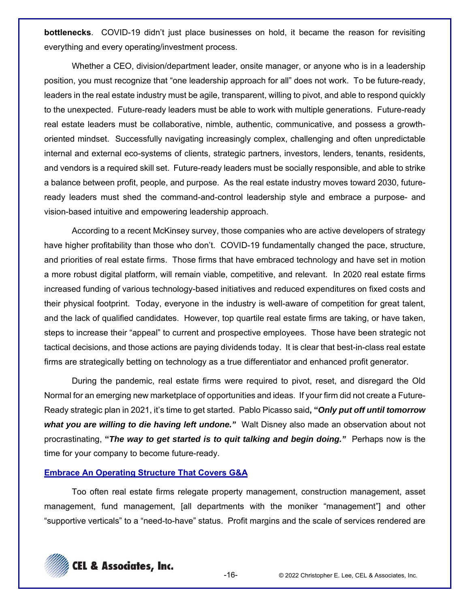**bottlenecks**. COVID-19 didn't just place businesses on hold, it became the reason for revisiting everything and every operating/investment process.

Whether a CEO, division/department leader, onsite manager, or anyone who is in a leadership position, you must recognize that "one leadership approach for all" does not work. To be future-ready, leaders in the real estate industry must be agile, transparent, willing to pivot, and able to respond quickly to the unexpected. Future-ready leaders must be able to work with multiple generations. Future-ready real estate leaders must be collaborative, nimble, authentic, communicative, and possess a growthoriented mindset. Successfully navigating increasingly complex, challenging and often unpredictable internal and external eco-systems of clients, strategic partners, investors, lenders, tenants, residents, and vendors is a required skill set. Future-ready leaders must be socially responsible, and able to strike a balance between profit, people, and purpose. As the real estate industry moves toward 2030, futureready leaders must shed the command-and-control leadership style and embrace a purpose- and vision-based intuitive and empowering leadership approach.

According to a recent McKinsey survey, those companies who are active developers of strategy have higher profitability than those who don't. COVID-19 fundamentally changed the pace, structure, and priorities of real estate firms. Those firms that have embraced technology and have set in motion a more robust digital platform, will remain viable, competitive, and relevant. In 2020 real estate firms increased funding of various technology-based initiatives and reduced expenditures on fixed costs and their physical footprint. Today, everyone in the industry is well-aware of competition for great talent, and the lack of qualified candidates. However, top quartile real estate firms are taking, or have taken, steps to increase their "appeal" to current and prospective employees. Those have been strategic not tactical decisions, and those actions are paying dividends today. It is clear that best-in-class real estate firms are strategically betting on technology as a true differentiator and enhanced profit generator.

During the pandemic, real estate firms were required to pivot, reset, and disregard the Old Normal for an emerging new marketplace of opportunities and ideas. If your firm did not create a Future-Ready strategic plan in 2021, it's time to get started. Pablo Picasso said**, "***Only put off until tomorrow what you are willing to die having left undone."* Walt Disney also made an observation about not procrastinating, **"***The way to get started is to quit talking and begin doing."* Perhaps now is the time for your company to become future-ready.

## **Embrace An Operating Structure That Covers G&A**

Too often real estate firms relegate property management, construction management, asset management, fund management, [all departments with the moniker "management"] and other "supportive verticals" to a "need-to-have" status. Profit margins and the scale of services rendered are

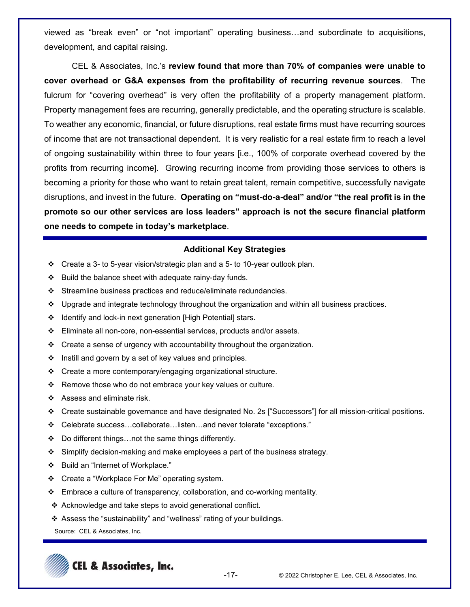viewed as "break even" or "not important" operating business…and subordinate to acquisitions, development, and capital raising.

CEL & Associates, Inc.'s **review found that more than 70% of companies were unable to cover overhead or G&A expenses from the profitability of recurring revenue sources**. The fulcrum for "covering overhead" is very often the profitability of a property management platform. Property management fees are recurring, generally predictable, and the operating structure is scalable. To weather any economic, financial, or future disruptions, real estate firms must have recurring sources of income that are not transactional dependent. It is very realistic for a real estate firm to reach a level of ongoing sustainability within three to four years [i.e., 100% of corporate overhead covered by the profits from recurring income]. Growing recurring income from providing those services to others is becoming a priority for those who want to retain great talent, remain competitive, successfully navigate disruptions, and invest in the future. **Operating on "must-do-a-deal" and/or "the real profit is in the promote so our other services are loss leaders" approach is not the secure financial platform one needs to compete in today's marketplace**.

#### **Additional Key Strategies**

- Create a 3- to 5-year vision/strategic plan and a 5- to 10-year outlook plan.
- $\div$  Build the balance sheet with adequate rainy-day funds.
- Streamline business practices and reduce/eliminate redundancies.
- $\div$  Upgrade and integrate technology throughout the organization and within all business practices.
- ❖ Identify and lock-in next generation [High Potential] stars.
- Eliminate all non-core, non-essential services, products and/or assets.
- $\div$  Create a sense of urgency with accountability throughout the organization.
- $\div$  Instill and govern by a set of key values and principles.
- Create a more contemporary/engaging organizational structure.
- $\div$  Remove those who do not embrace your key values or culture.
- Assess and eliminate risk.
- Create sustainable governance and have designated No. 2s ["Successors"] for all mission-critical positions.
- Celebrate success…collaborate…listen…and never tolerate "exceptions."
- Do different things…not the same things differently.
- Simplify decision-making and make employees a part of the business strategy.
- Build an "Internet of Workplace."
- Create a "Workplace For Me" operating system.
- $\div$  Embrace a culture of transparency, collaboration, and co-working mentality.
- ❖ Acknowledge and take steps to avoid generational conflict.
- Assess the "sustainability" and "wellness" rating of your buildings.
- Source: CEL & Associates, Inc.

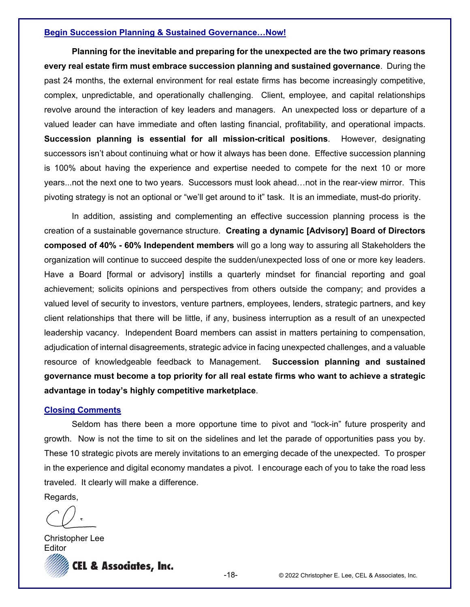#### **Begin Succession Planning & Sustained Governance…Now!**

**Planning for the inevitable and preparing for the unexpected are the two primary reasons every real estate firm must embrace succession planning and sustained governance**. During the past 24 months, the external environment for real estate firms has become increasingly competitive, complex, unpredictable, and operationally challenging. Client, employee, and capital relationships revolve around the interaction of key leaders and managers. An unexpected loss or departure of a valued leader can have immediate and often lasting financial, profitability, and operational impacts. **Succession planning is essential for all mission-critical positions**. However, designating successors isn't about continuing what or how it always has been done. Effective succession planning is 100% about having the experience and expertise needed to compete for the next 10 or more years...not the next one to two years. Successors must look ahead…not in the rear-view mirror. This pivoting strategy is not an optional or "we'll get around to it" task. It is an immediate, must-do priority.

In addition, assisting and complementing an effective succession planning process is the creation of a sustainable governance structure. **Creating a dynamic [Advisory] Board of Directors composed of 40% - 60% Independent members** will go a long way to assuring all Stakeholders the organization will continue to succeed despite the sudden/unexpected loss of one or more key leaders. Have a Board [formal or advisory] instills a quarterly mindset for financial reporting and goal achievement; solicits opinions and perspectives from others outside the company; and provides a valued level of security to investors, venture partners, employees, lenders, strategic partners, and key client relationships that there will be little, if any, business interruption as a result of an unexpected leadership vacancy. Independent Board members can assist in matters pertaining to compensation, adjudication of internal disagreements, strategic advice in facing unexpected challenges, and a valuable resource of knowledgeable feedback to Management. **Succession planning and sustained governance must become a top priority for all real estate firms who want to achieve a strategic advantage in today's highly competitive marketplace**.

#### **Closing Comments**

Seldom has there been a more opportune time to pivot and "lock-in" future prosperity and growth. Now is not the time to sit on the sidelines and let the parade of opportunities pass you by. These 10 strategic pivots are merely invitations to an emerging decade of the unexpected. To prosper in the experience and digital economy mandates a pivot. I encourage each of you to take the road less traveled. It clearly will make a difference.

Regards,

CEL & Associates, Inc.<br>-18- © 2022 Christopher E. Lee, CEL & Associates, Inc. Christopher Lee **Editor**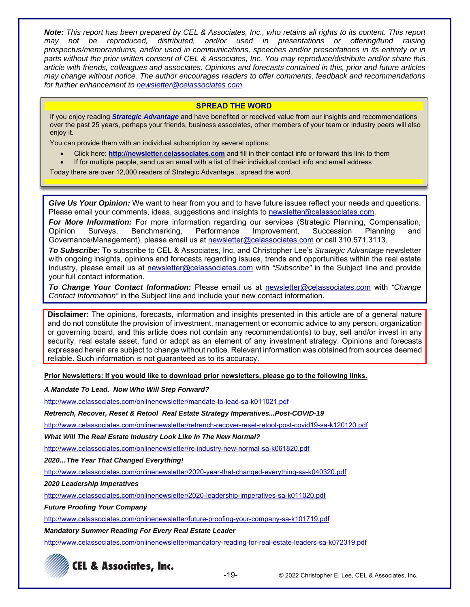*Note: This report has been prepared by CEL & Associates, Inc., who retains all rights to its content. This report may not be reproduced, distributed, and/or used in presentations or offering/fund raising prospectus/memorandums, and/or used in communications, speeches and/or presentations in its entirety or in parts without the prior written consent of CEL & Associates, Inc. You may reproduce/distribute and/or share this article with friends, colleagues and associates. Opinions and forecasts contained in this, prior and future articles may change without notice. The author encourages readers to offer comments, feedback and recommendations for further enhancement to newsletter@celassociates.com* 

#### **SPREAD THE WORD**

If you enjoy reading *Strategic Advantage* and have benefited or received value from our insights and recommendations over the past 25 years, perhaps your friends, business associates, other members of your team or industry peers will also enjoy it.

You can provide them with an individual subscription by several options:

- Click here: **http://newsletter.celassociates.com** and fill in their contact info or forward this link to them
- If for multiple people, send us an email with a list of their individual contact info and email address

Today there are over 12,000 readers of Strategic Advantage…spread the word.

*Give Us Your Opinion:* We want to hear from you and to have future issues reflect your needs and questions. Please email your comments, ideas, suggestions and insights to newsletter@celassociates.com.

*For More Information:* For more information regarding our services (Strategic Planning, Compensation, Opinion Surveys, Benchmarking, Performance Improvement, Succession Planning and Governance/Management), please email us at newsletter@celassociates.com or call 310.571.3113.

*To Subscribe:* To subscribe to CEL & Associates, Inc. and Christopher Lee's *Strategic Advantage* newsletter with ongoing insights, opinions and forecasts regarding issues, trends and opportunities within the real estate industry, please email us at newsletter@celassociates.com with *"Subscribe"* in the Subject line and provide your full contact information.

*To Change Your Contact Information***:** Please email us at newsletter@celassociates.com with *"Change Contact Information"* in the Subject line and include your new contact information.

**Disclaimer:** The opinions, forecasts, information and insights presented in this article are of a general nature and do not constitute the provision of investment, management or economic advice to any person, organization or governing board, and this article does not contain any recommendation(s) to buy, sell and/or invest in any security, real estate asset, fund or adopt as an element of any investment strategy. Opinions and forecasts expressed herein are subject to change without notice. Relevant information was obtained from sources deemed reliable. Such information is not guaranteed as to its accuracy.

**Prior Newsletters: If you would like to download prior newsletters, please go to the following links.** 

*A Mandate To Lead. Now Who Will Step Forward?* 

http://www.celassociates.com/onlinenewsletter/mandate-to-lead-sa-k011021.pdf

*Retrench, Recover, Reset & Retool Real Estate Strategy Imperatives...Post-COVID-19* 

http://www.celassociates.com/onlinenewsletter/retrench-recover-reset-retool-post-covid19-sa-k120120.pdf

*What Will The Real Estate Industry Look Like In The New Normal?*

http://www.celassociates.com/onlinenewsletter/re-industry-new-normal-sa-k061820.pdf

*2020…The Year That Changed Everything!* 

http://www.celassociates.com/onlinenewsletter/2020-year-that-changed-everything-sa-k040320.pdf

*2020 Leadership Imperatives*

http://www.celassociates.com/onlinenewsletter/2020-leadership-imperatives-sa-k011020.pdf

*Future Proofing Your Company*

http://www.celassociates.com/onlinenewsletter/future-proofing-your-company-sa-k101719.pdf

*Mandatory Summer Reading For Every Real Estate Leader*

http://www.celassociates.com/onlinenewsletter/mandatory-reading-for-real-estate-leaders-sa-k072319.pdf